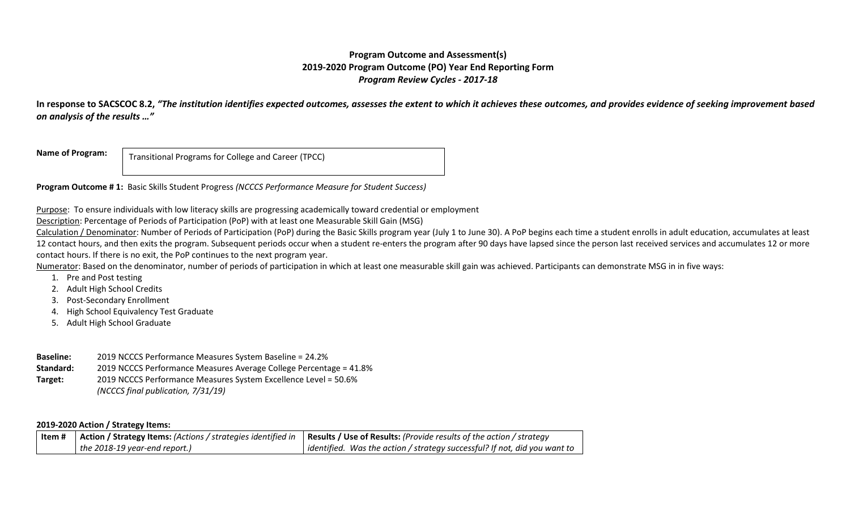## **Program Outcome and Assessment(s) 2019-2020 Program Outcome (PO) Year End Reporting Form** *Program Review Cycles - 2017-18*

**In response to SACSCOC 8.2,** *"The institution identifies expected outcomes, assesses the extent to which it achieves these outcomes, and provides evidence of seeking improvement based on analysis of the results …"*

**Name of Program:**

Transitional Programs for College and Career (TPCC)

**Program Outcome # 1:** Basic Skills Student Progress *(NCCCS Performance Measure for Student Success)*

Purpose: To ensure individuals with low literacy skills are progressing academically toward credential or employment

Description: Percentage of Periods of Participation (PoP) with at least one Measurable Skill Gain (MSG)

Calculation / Denominator: Number of Periods of Participation (PoP) during the Basic Skills program year (July 1 to June 30). A PoP begins each time a student enrolls in adult education, accumulates at least 12 contact hours, and then exits the program. Subsequent periods occur when a student re-enters the program after 90 days have lapsed since the person last received services and accumulates 12 or more contact hours. If there is no exit, the PoP continues to the next program year.

Numerator: Based on the denominator, number of periods of participation in which at least one measurable skill gain was achieved. Participants can demonstrate MSG in in five ways:

- 1. Pre and Post testing
- 2. Adult High School Credits
- 3. Post‐Secondary Enrollment
- 4. High School Equivalency Test Graduate
- 5. Adult High School Graduate
- **Baseline:** 2019 NCCCS Performance Measures System Baseline = 24.2%
- **Standard:** 2019 NCCCS Performance Measures Average College Percentage = 41.8%

**Target:** 2019 NCCCS Performance Measures System Excellence Level = 50.6% *(NCCCS final publication, 7/31/19)* 

### **2019-2020 Action / Strategy Items:**

| ltem # |                               | Action / Strategy Items: (Actions / strategies identified in   Results / Use of Results: (Provide results of the action / strategy |
|--------|-------------------------------|------------------------------------------------------------------------------------------------------------------------------------|
|        | the 2018-19 year-end report.) | identified. Was the action / strategy successful? If not, did you want to                                                          |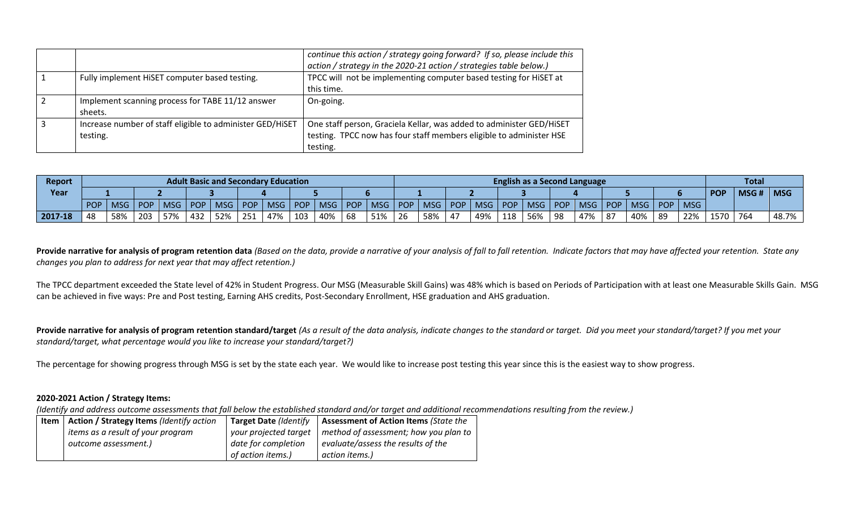|                                                                       | continue this action / strategy going forward? If so, please include this<br>action / strategy in the 2020-21 action / strategies table below.)         |
|-----------------------------------------------------------------------|---------------------------------------------------------------------------------------------------------------------------------------------------------|
| Fully implement HiSET computer based testing.                         | TPCC will not be implementing computer based testing for HiSET at<br>this time.                                                                         |
| Implement scanning process for TABE 11/12 answer<br>sheets.           | On-going.                                                                                                                                               |
| Increase number of staff eligible to administer GED/HiSET<br>testing. | One staff person, Graciela Kellar, was added to administer GED/HiSET<br>testing. TPCC now has four staff members eligible to administer HSE<br>testing. |

| Report  | <b>Adult Basic and Secondary Education</b> |            |            | <b>English as a Second Language</b> |            |            |     |           |           |     |                  | <b>Total</b> |              |            |            |            |            |            |            |     |     |     |      |            |            |      |            |
|---------|--------------------------------------------|------------|------------|-------------------------------------|------------|------------|-----|-----------|-----------|-----|------------------|--------------|--------------|------------|------------|------------|------------|------------|------------|-----|-----|-----|------|------------|------------|------|------------|
| Year    |                                            |            |            |                                     |            |            |     |           |           |     |                  |              |              |            |            |            |            |            |            |     |     |     |      |            | <b>POP</b> | MSG# | <b>MSG</b> |
|         | POP                                        | <b>MSG</b> | <b>POP</b> | <b>MSG</b>                          | <b>POP</b> | <b>MSG</b> |     | POP   MSG | POP   MSG |     | POP <sup>1</sup> | <b>MSG</b>   | POP          | <b>MSG</b> | <b>POP</b> | <b>MSG</b> | <b>POP</b> | <b>MSG</b> | <b>POP</b> | MSG | POP | MSG | POP, | <b>MSG</b> |            |      |            |
| 2017-18 | 48                                         | 58%        | 203        | 57%                                 | 432        | 52%        | 251 | 47%       | 103       | 40% | 68               | 51%          | $\sim$<br>26 | 58%        | $4^-$      | 49%        | 118        | 56%        | 98         | 47% | 87  | 40% | 89   | 22%        | 1570       | 764  | 48.7%      |

**Provide narrative for analysis of program retention data** *(Based on the data, provide a narrative of your analysis of fall to fall retention. Indicate factors that may have affected your retention. State any changes you plan to address for next year that may affect retention.)*

The TPCC department exceeded the State level of 42% in Student Progress. Our MSG (Measurable Skill Gains) was 48% which is based on Periods of Participation with at least one Measurable Skills Gain. MSG can be achieved in five ways: Pre and Post testing, Earning AHS credits, Post-Secondary Enrollment, HSE graduation and AHS graduation.

Provide narrative for analysis of program retention standard/target (As a result of the data analysis, indicate changes to the standard or target. Did you meet your standard/target? If you met your *standard/target, what percentage would you like to increase your standard/target?)* 

The percentage for showing progress through MSG is set by the state each year. We would like to increase post testing this year since this is the easiest way to show progress.

### **2020-2021 Action / Strategy Items:**

*(Identify and address outcome assessments that fall below the established standard and/or target and additional recommendations resulting from the review.)*

| Item | Action / Strategy Items (Identify action | <b>Target Date (Identify</b> | Assessment of Action Items (State the |
|------|------------------------------------------|------------------------------|---------------------------------------|
|      | items as a result of your program        | your projected target        | method of assessment; how you plan to |
|      | outcome assessment.)                     | date for completion          | evaluate/assess the results of the    |
|      |                                          | of action items.)            | action items.)                        |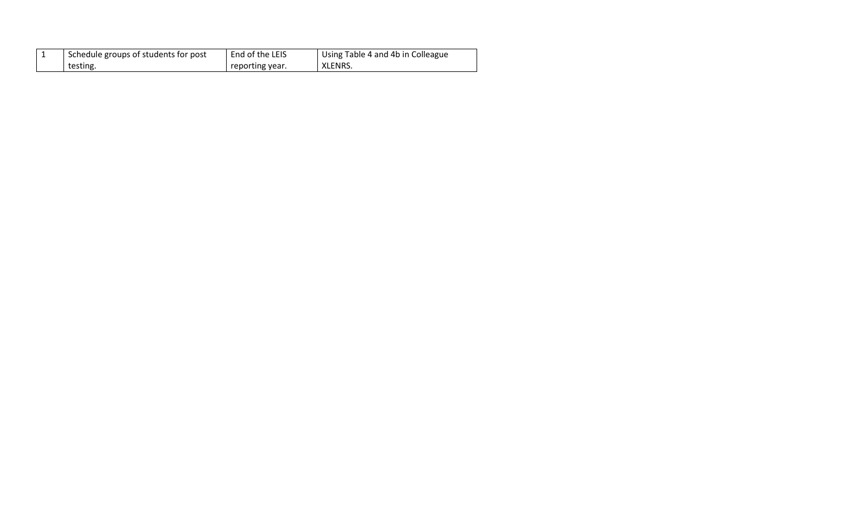|  | Schedule groups of students for post | End of the LEIS | Using Table 4 and 4b in Colleague |
|--|--------------------------------------|-----------------|-----------------------------------|
|  | testing.                             | reporting year. | XLENRS.                           |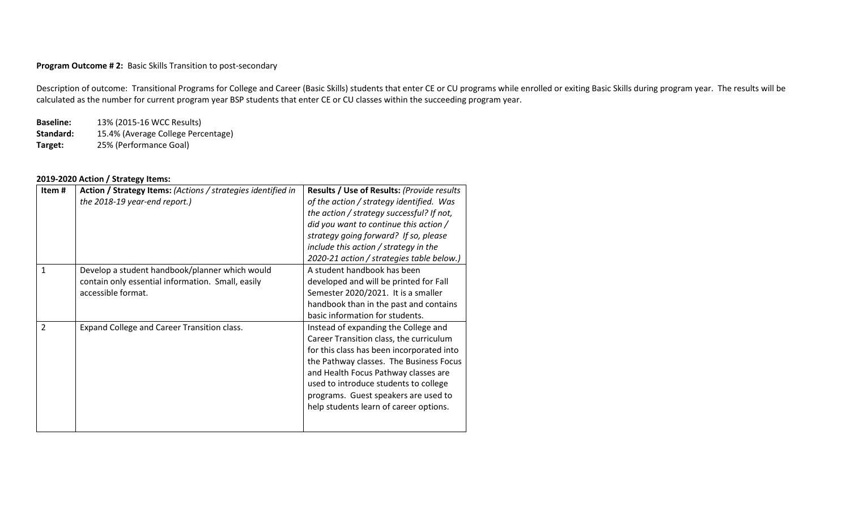### **Program Outcome # 2:** Basic Skills Transition to post-secondary

Description of outcome: Transitional Programs for College and Career (Basic Skills) students that enter CE or CU programs while enrolled or exiting Basic Skills during program year. The results will be calculated as the number for current program year BSP students that enter CE or CU classes within the succeeding program year.

**Baseline:** 13% (2015-16 WCC Results) **Standard:** 15.4% (Average College Percentage) **Target:** 25% (Performance Goal)

# **2019-2020 Action / Strategy Items:**

| Item#          | Action / Strategy Items: (Actions / strategies identified in<br>the 2018-19 year-end report.)                             | <b>Results / Use of Results: (Provide results)</b><br>of the action / strategy identified. Was<br>the action / strategy successful? If not,<br>did you want to continue this action /<br>strategy going forward? If so, please<br>include this action / strategy in the<br>2020-21 action / strategies table below.)                       |
|----------------|---------------------------------------------------------------------------------------------------------------------------|--------------------------------------------------------------------------------------------------------------------------------------------------------------------------------------------------------------------------------------------------------------------------------------------------------------------------------------------|
| 1              | Develop a student handbook/planner which would<br>contain only essential information. Small, easily<br>accessible format. | A student handbook has been<br>developed and will be printed for Fall<br>Semester 2020/2021. It is a smaller<br>handbook than in the past and contains<br>basic information for students.                                                                                                                                                  |
| $\overline{2}$ | Expand College and Career Transition class.                                                                               | Instead of expanding the College and<br>Career Transition class, the curriculum<br>for this class has been incorporated into<br>the Pathway classes. The Business Focus<br>and Health Focus Pathway classes are<br>used to introduce students to college<br>programs. Guest speakers are used to<br>help students learn of career options. |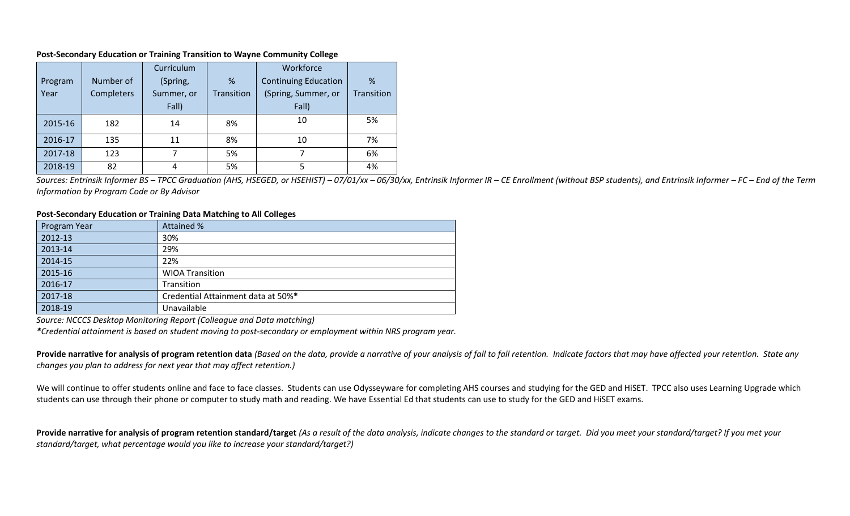#### **Post-Secondary Education or Training Transition to Wayne Community College**

|         |                   | Curriculum |            | Workforce                   |            |
|---------|-------------------|------------|------------|-----------------------------|------------|
| Program | Number of         | (Spring,   | %          | <b>Continuing Education</b> | %          |
| Year    | <b>Completers</b> | Summer, or | Transition | (Spring, Summer, or         | Transition |
|         |                   | Fall)      |            | Fall)                       |            |
| 2015-16 | 182               | 14         | 8%         | 10                          | 5%         |
| 2016-17 | 135               | 11         | 8%         | 10                          | 7%         |
| 2017-18 | 123               | 7          | 5%         |                             | 6%         |
| 2018-19 | 82                | 4          | 5%         |                             | 4%         |

Sources: Entrinsik Informer BS - TPCC Graduation (AHS, HSEGED, or HSEHIST) - 07/01/xx - 06/30/xx, Entrinsik Informer IR - CE Enrollment (without BSP students), and Entrinsik Informer - FC - End of the Term *Information by Program Code or By Advisor*

#### **Post-Secondary Education or Training Data Matching to All Colleges**

| Program Year | Attained %                         |  |  |
|--------------|------------------------------------|--|--|
| 2012-13      | 30%                                |  |  |
| 2013-14      | 29%                                |  |  |
| 2014-15      | 22%                                |  |  |
| 2015-16      | <b>WIOA Transition</b>             |  |  |
| 2016-17      | Transition                         |  |  |
| 2017-18      | Credential Attainment data at 50%* |  |  |
| 2018-19      | Unavailable                        |  |  |

*Source: NCCCS Desktop Monitoring Report (Colleague and Data matching)*

*\*Credential attainment is based on student moving to post-secondary or employment within NRS program year.* 

**Provide narrative for analysis of program retention data** *(Based on the data, provide a narrative of your analysis of fall to fall retention. Indicate factors that may have affected your retention. State any changes you plan to address for next year that may affect retention.)*

We will continue to offer students online and face to face classes. Students can use Odysseyware for completing AHS courses and studying for the GED and HiSET. TPCC also uses Learning Upgrade which students can use through their phone or computer to study math and reading. We have Essential Ed that students can use to study for the GED and HiSET exams.

**Provide narrative for analysis of program retention standard/target** *(As a result of the data analysis, indicate changes to the standard or target. Did you meet your standard/target? If you met your standard/target, what percentage would you like to increase your standard/target?)*